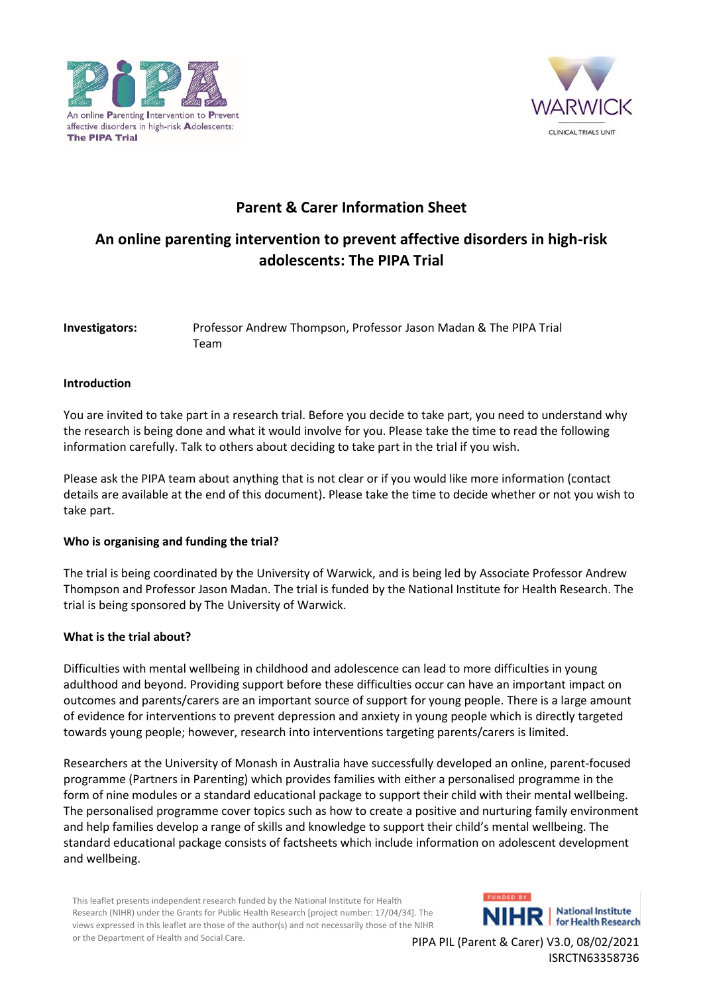



# **Parent & Carer Information Sheet**

# **An online parenting intervention to prevent affective disorders in high-risk adolescents: The PIPA Trial**

## **Investigators:** Professor Andrew Thompson, Professor Jason Madan & The PIPA Trial Team

## **Introduction**

You are invited to take part in a research trial. Before you decide to take part, you need to understand why the research is being done and what it would involve for you. Please take the time to read the following information carefully. Talk to others about deciding to take part in the trial if you wish.

Please ask the PIPA team about anything that is not clear or if you would like more information (contact details are available at the end of this document). Please take the time to decide whether or not you wish to take part.

#### **Who is organising and funding the trial?**

The trial is being coordinated by the University of Warwick, and is being led by Associate Professor Andrew Thompson and Professor Jason Madan. The trial is funded by the National Institute for Health Research. The trial is being sponsored by The University of Warwick.

#### **What is the trial about?**

Difficulties with mental wellbeing in childhood and adolescence can lead to more difficulties in young adulthood and beyond. Providing support before these difficulties occur can have an important impact on outcomes and parents/carers are an important source of support for young people. There is a large amount of evidence for interventions to prevent depression and anxiety in young people which is directly targeted towards young people; however, research into interventions targeting parents/carers is limited.

Researchers at the University of Monash in Australia have successfully developed an online, parent-focused programme (Partners in Parenting) which provides families with either a personalised programme in the form of nine modules or a standard educational package to support their child with their mental wellbeing. The personalised programme cover topics such as how to create a positive and nurturing family environment and help families develop a range of skills and knowledge to support their child's mental wellbeing. The standard educational package consists of factsheets which include information on adolescent development and wellbeing.

This leaflet presents independent research funded by the National Institute for Health Research (NIHR) under the Grants for Public Health Research [project number: 17/04/34]. The views expressed in this leaflet are those of the author(s) and not necessarily those of the NIHR or the Department of Health and Social Care.

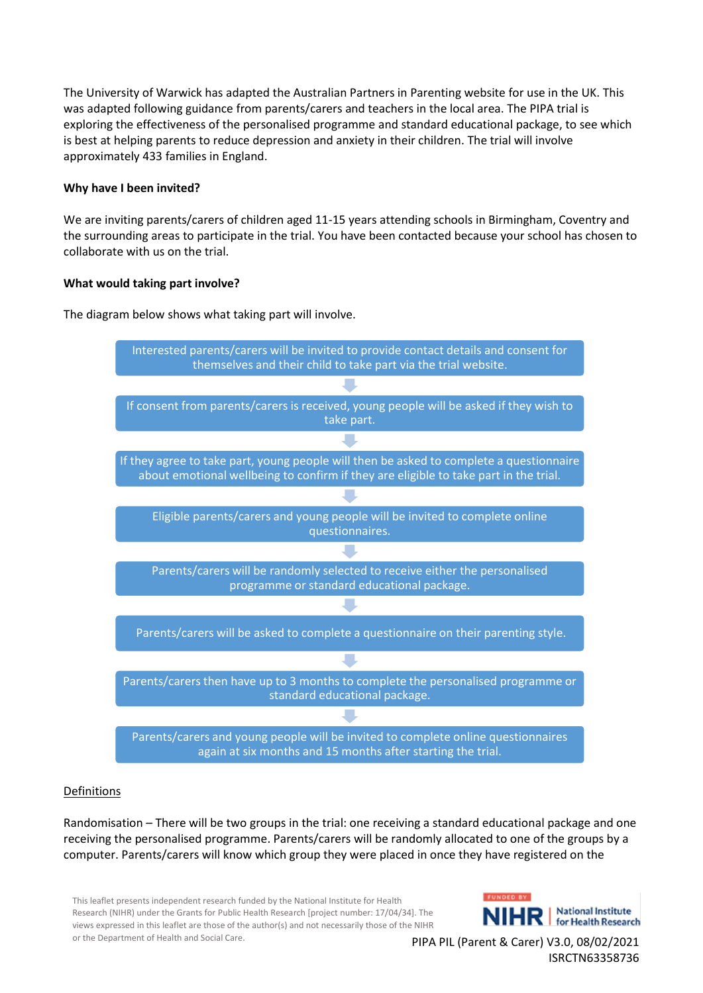The University of Warwick has adapted the Australian Partners in Parenting website for use in the UK. This was adapted following guidance from parents/carers and teachers in the local area. The PIPA trial is exploring the effectiveness of the personalised programme and standard educational package, to see which is best at helping parents to reduce depression and anxiety in their children. The trial will involve approximately 433 families in England.

## **Why have I been invited?**

We are inviting parents/carers of children aged 11-15 years attending schools in Birmingham, Coventry and the surrounding areas to participate in the trial. You have been contacted because your school has chosen to collaborate with us on the trial.

## **What would taking part involve?**

The diagram below shows what taking part will involve.



## Definitions

Randomisation – There will be two groups in the trial: one receiving a standard educational package and one receiving the personalised programme. Parents/carers will be randomly allocated to one of the groups by a computer. Parents/carers will know which group they were placed in once they have registered on the

This leaflet presents independent research funded by the National Institute for Health Research (NIHR) under the Grants for Public Health Research [project number: 17/04/34]. The views expressed in this leaflet are those of the author(s) and not necessarily those of the NIHR or the Department of Health and Social Care.

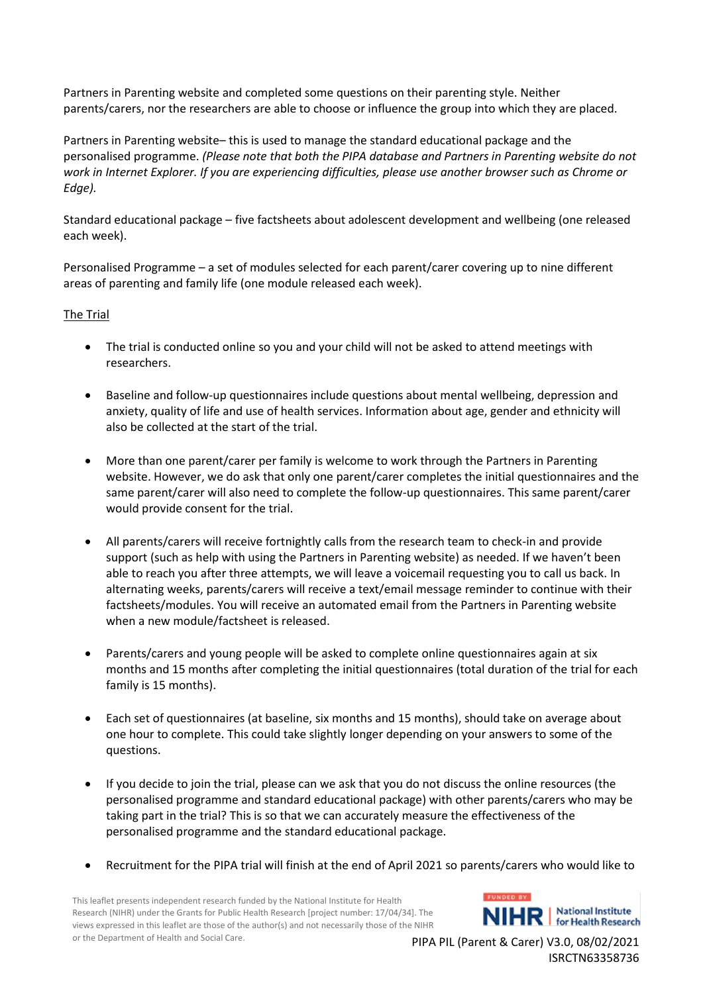Partners in Parenting website and completed some questions on their parenting style. Neither parents/carers, nor the researchers are able to choose or influence the group into which they are placed.

Partners in Parenting website– this is used to manage the standard educational package and the personalised programme. *(Please note that both the PIPA database and Partners in Parenting website do not work in Internet Explorer. If you are experiencing difficulties, please use another browser such as Chrome or Edge).*

Standard educational package – five factsheets about adolescent development and wellbeing (one released each week).

Personalised Programme – a set of modules selected for each parent/carer covering up to nine different areas of parenting and family life (one module released each week).

## The Trial

- The trial is conducted online so you and your child will not be asked to attend meetings with researchers.
- Baseline and follow-up questionnaires include questions about mental wellbeing, depression and anxiety, quality of life and use of health services. Information about age, gender and ethnicity will also be collected at the start of the trial.
- More than one parent/carer per family is welcome to work through the Partners in Parenting website. However, we do ask that only one parent/carer completes the initial questionnaires and the same parent/carer will also need to complete the follow-up questionnaires. This same parent/carer would provide consent for the trial.
- All parents/carers will receive fortnightly calls from the research team to check-in and provide support (such as help with using the Partners in Parenting website) as needed. If we haven't been able to reach you after three attempts, we will leave a voicemail requesting you to call us back. In alternating weeks, parents/carers will receive a text/email message reminder to continue with their factsheets/modules. You will receive an automated email from the Partners in Parenting website when a new module/factsheet is released.
- Parents/carers and young people will be asked to complete online questionnaires again at six months and 15 months after completing the initial questionnaires (total duration of the trial for each family is 15 months).
- Each set of questionnaires (at baseline, six months and 15 months), should take on average about one hour to complete. This could take slightly longer depending on your answers to some of the questions.
- If you decide to join the trial, please can we ask that you do not discuss the online resources (the personalised programme and standard educational package) with other parents/carers who may be taking part in the trial? This is so that we can accurately measure the effectiveness of the personalised programme and the standard educational package.
- Recruitment for the PIPA trial will finish at the end of April 2021 so parents/carers who would like to

This leaflet presents independent research funded by the National Institute for Health Research (NIHR) under the Grants for Public Health Research [project number: 17/04/34]. The views expressed in this leaflet are those of the author(s) and not necessarily those of the NIHR or the Department of Health and Social Care.

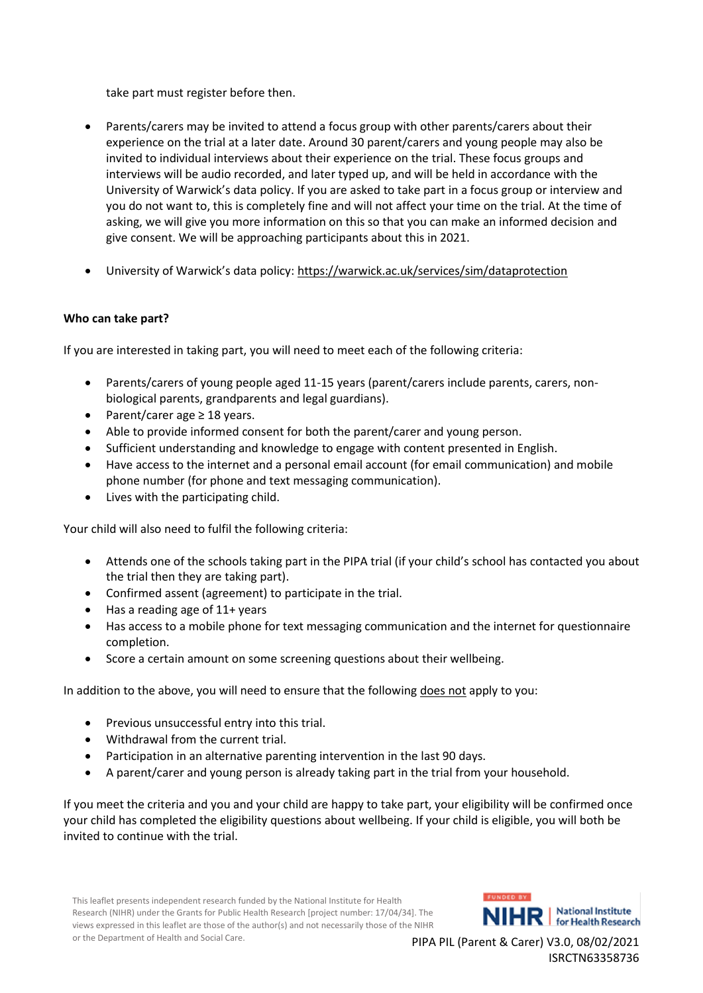take part must register before then.

- Parents/carers may be invited to attend a focus group with other parents/carers about their experience on the trial at a later date. Around 30 parent/carers and young people may also be invited to individual interviews about their experience on the trial. These focus groups and interviews will be audio recorded, and later typed up, and will be held in accordance with the University of Warwick's data policy. If you are asked to take part in a focus group or interview and you do not want to, this is completely fine and will not affect your time on the trial. At the time of asking, we will give you more information on this so that you can make an informed decision and give consent. We will be approaching participants about this in 2021.
- University of Warwick's data policy: <https://warwick.ac.uk/services/sim/dataprotection>

## **Who can take part?**

If you are interested in taking part, you will need to meet each of the following criteria:

- Parents/carers of young people aged 11-15 years (parent/carers include parents, carers, nonbiological parents, grandparents and legal guardians).
- Parent/carer age ≥ 18 years.
- Able to provide informed consent for both the parent/carer and young person.
- Sufficient understanding and knowledge to engage with content presented in English.
- Have access to the internet and a personal email account (for email communication) and mobile phone number (for phone and text messaging communication).
- Lives with the participating child.

Your child will also need to fulfil the following criteria:

- Attends one of the schools taking part in the PIPA trial (if your child's school has contacted you about the trial then they are taking part).
- Confirmed assent (agreement) to participate in the trial.
- Has a reading age of 11+ years
- Has access to a mobile phone for text messaging communication and the internet for questionnaire completion.
- Score a certain amount on some screening questions about their wellbeing.

In addition to the above, you will need to ensure that the following does not apply to you:

- Previous unsuccessful entry into this trial.
- Withdrawal from the current trial.
- Participation in an alternative parenting intervention in the last 90 days.
- A parent/carer and young person is already taking part in the trial from your household.

If you meet the criteria and you and your child are happy to take part, your eligibility will be confirmed once your child has completed the eligibility questions about wellbeing. If your child is eligible, you will both be invited to continue with the trial.

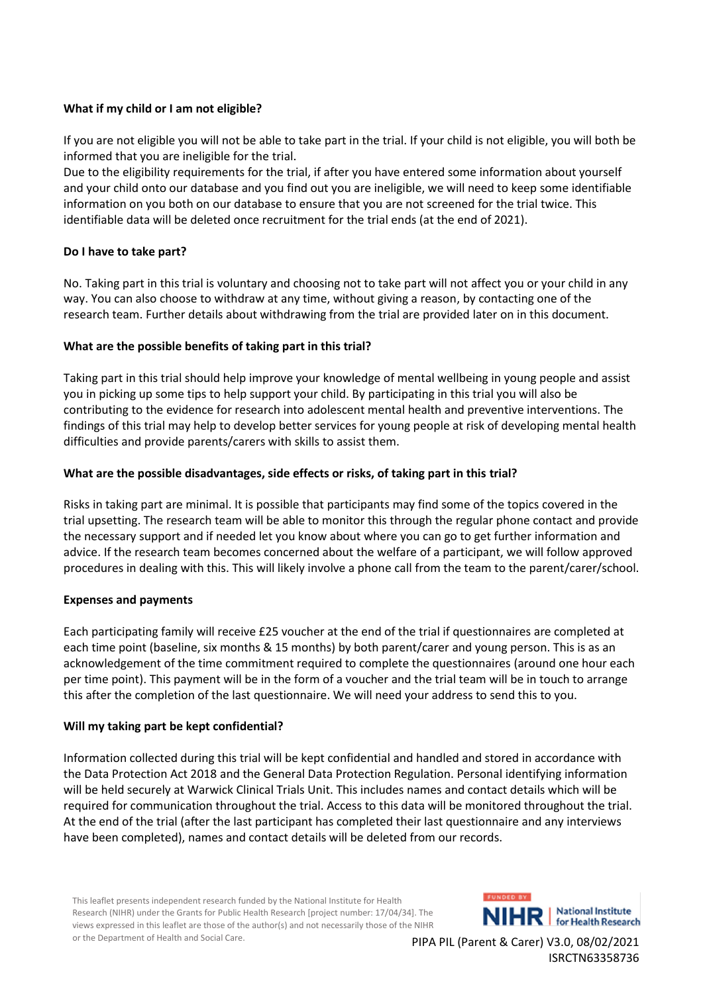## **What if my child or I am not eligible?**

If you are not eligible you will not be able to take part in the trial. If your child is not eligible, you will both be informed that you are ineligible for the trial.

Due to the eligibility requirements for the trial, if after you have entered some information about yourself and your child onto our database and you find out you are ineligible, we will need to keep some identifiable information on you both on our database to ensure that you are not screened for the trial twice. This identifiable data will be deleted once recruitment for the trial ends (at the end of 2021).

## **Do I have to take part?**

No. Taking part in this trial is voluntary and choosing not to take part will not affect you or your child in any way. You can also choose to withdraw at any time, without giving a reason, by contacting one of the research team. Further details about withdrawing from the trial are provided later on in this document.

## **What are the possible benefits of taking part in this trial?**

Taking part in this trial should help improve your knowledge of mental wellbeing in young people and assist you in picking up some tips to help support your child. By participating in this trial you will also be contributing to the evidence for research into adolescent mental health and preventive interventions. The findings of this trial may help to develop better services for young people at risk of developing mental health difficulties and provide parents/carers with skills to assist them.

## **What are the possible disadvantages, side effects or risks, of taking part in this trial?**

Risks in taking part are minimal. It is possible that participants may find some of the topics covered in the trial upsetting. The research team will be able to monitor this through the regular phone contact and provide the necessary support and if needed let you know about where you can go to get further information and advice. If the research team becomes concerned about the welfare of a participant, we will follow approved procedures in dealing with this. This will likely involve a phone call from the team to the parent/carer/school.

#### **Expenses and payments**

Each participating family will receive £25 voucher at the end of the trial if questionnaires are completed at each time point (baseline, six months & 15 months) by both parent/carer and young person. This is as an acknowledgement of the time commitment required to complete the questionnaires (around one hour each per time point). This payment will be in the form of a voucher and the trial team will be in touch to arrange this after the completion of the last questionnaire. We will need your address to send this to you.

#### **Will my taking part be kept confidential?**

Information collected during this trial will be kept confidential and handled and stored in accordance with the Data Protection Act 2018 and the General Data Protection Regulation. Personal identifying information will be held securely at Warwick Clinical Trials Unit. This includes names and contact details which will be required for communication throughout the trial. Access to this data will be monitored throughout the trial. At the end of the trial (after the last participant has completed their last questionnaire and any interviews have been completed), names and contact details will be deleted from our records.

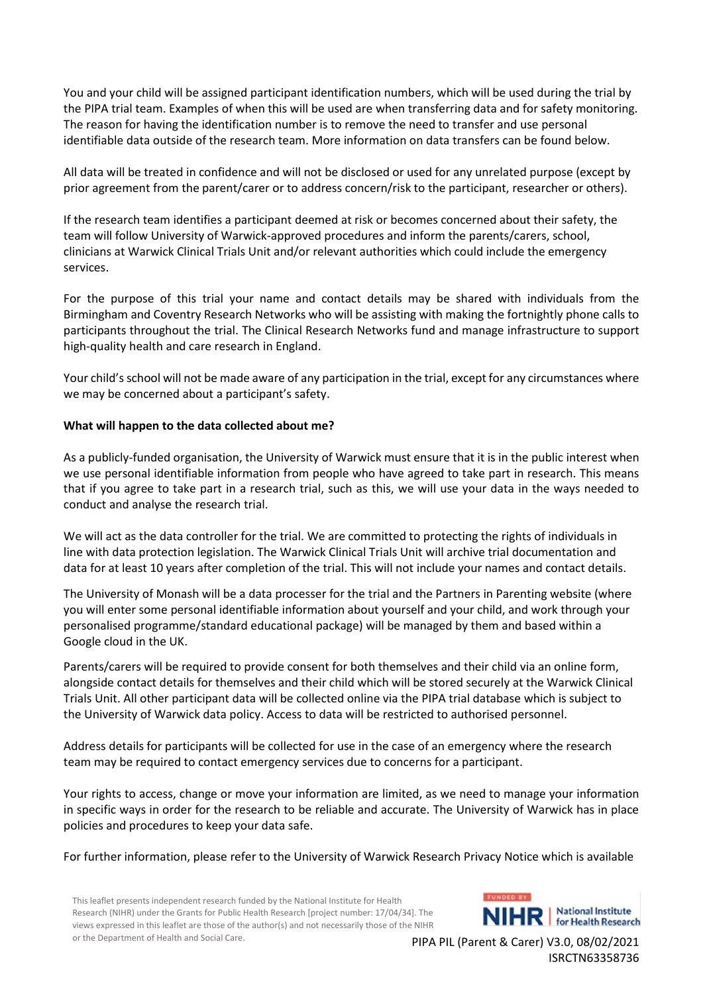You and your child will be assigned participant identification numbers, which will be used during the trial by the PIPA trial team. Examples of when this will be used are when transferring data and for safety monitoring. The reason for having the identification number is to remove the need to transfer and use personal identifiable data outside of the research team. More information on data transfers can be found below.

All data will be treated in confidence and will not be disclosed or used for any unrelated purpose (except by prior agreement from the parent/carer or to address concern/risk to the participant, researcher or others).

If the research team identifies a participant deemed at risk or becomes concerned about their safety, the team will follow University of Warwick-approved procedures and inform the parents/carers, school, clinicians at Warwick Clinical Trials Unit and/or relevant authorities which could include the emergency services.

For the purpose of this trial your name and contact details may be shared with individuals from the Birmingham and Coventry Research Networks who will be assisting with making the fortnightly phone calls to participants throughout the trial. The Clinical Research Networks fund and manage infrastructure to support high-quality health and care research in England.

Your child's school will not be made aware of any participation in the trial, except for any circumstances where we may be concerned about a participant's safety.

## **What will happen to the data collected about me?**

As a publicly-funded organisation, the University of Warwick must ensure that it is in the public interest when we use personal identifiable information from people who have agreed to take part in research. This means that if you agree to take part in a research trial, such as this, we will use your data in the ways needed to conduct and analyse the research trial.

We will act as the data controller for the trial. We are committed to protecting the rights of individuals in line with data protection legislation. The Warwick Clinical Trials Unit will archive trial documentation and data for at least 10 years after completion of the trial. This will not include your names and contact details.

The University of Monash will be a data processer for the trial and the Partners in Parenting website (where you will enter some personal identifiable information about yourself and your child, and work through your personalised programme/standard educational package) will be managed by them and based within a Google cloud in the UK.

Parents/carers will be required to provide consent for both themselves and their child via an online form, alongside contact details for themselves and their child which will be stored securely at the Warwick Clinical Trials Unit. All other participant data will be collected online via the PIPA trial database which is subject to the University of Warwick data policy. Access to data will be restricted to authorised personnel.

Address details for participants will be collected for use in the case of an emergency where the research team may be required to contact emergency services due to concerns for a participant.

Your rights to access, change or move your information are limited, as we need to manage your information in specific ways in order for the research to be reliable and accurate. The University of Warwick has in place policies and procedures to keep your data safe.

For further information, please refer to the University of Warwick Research Privacy Notice which is available

This leaflet presents independent research funded by the National Institute for Health Research (NIHR) under the Grants for Public Health Research [project number: 17/04/34]. The views expressed in this leaflet are those of the author(s) and not necessarily those of the NIHR or the Department of Health and Social Care.

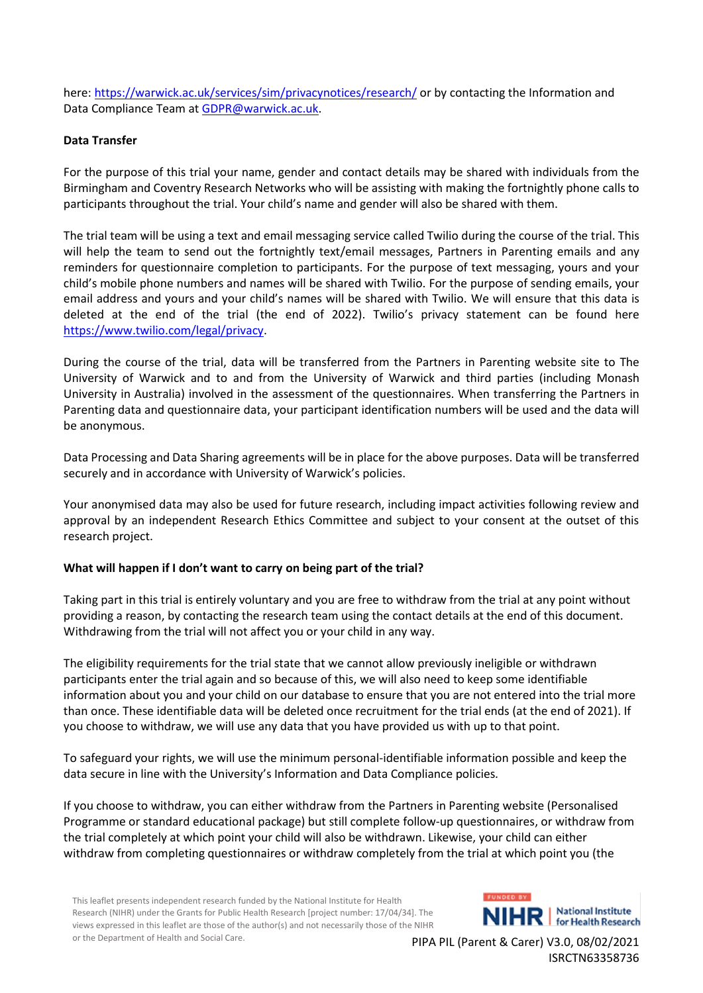here:<https://warwick.ac.uk/services/sim/privacynotices/research/> or by contacting the Information and Data Compliance Team at **GDPR@warwick.ac.uk.** 

## **Data Transfer**

For the purpose of this trial your name, gender and contact details may be shared with individuals from the Birmingham and Coventry Research Networks who will be assisting with making the fortnightly phone calls to participants throughout the trial. Your child's name and gender will also be shared with them.

The trial team will be using a text and email messaging service called Twilio during the course of the trial. This will help the team to send out the fortnightly text/email messages, Partners in Parenting emails and any reminders for questionnaire completion to participants. For the purpose of text messaging, yours and your child's mobile phone numbers and names will be shared with Twilio. For the purpose of sending emails, your email address and yours and your child's names will be shared with Twilio. We will ensure that this data is deleted at the end of the trial (the end of 2022). Twilio's privacy statement can be found here [https://www.twilio.com/legal/privacy.](https://www.twilio.com/legal/privacy)

During the course of the trial, data will be transferred from the Partners in Parenting website site to The University of Warwick and to and from the University of Warwick and third parties (including Monash University in Australia) involved in the assessment of the questionnaires. When transferring the Partners in Parenting data and questionnaire data, your participant identification numbers will be used and the data will be anonymous.

Data Processing and Data Sharing agreements will be in place for the above purposes. Data will be transferred securely and in accordance with University of Warwick's policies.

Your anonymised data may also be used for future research, including impact activities following review and approval by an independent Research Ethics Committee and subject to your consent at the outset of this research project.

#### **What will happen if I don't want to carry on being part of the trial?**

Taking part in this trial is entirely voluntary and you are free to withdraw from the trial at any point without providing a reason, by contacting the research team using the contact details at the end of this document. Withdrawing from the trial will not affect you or your child in any way.

The eligibility requirements for the trial state that we cannot allow previously ineligible or withdrawn participants enter the trial again and so because of this, we will also need to keep some identifiable information about you and your child on our database to ensure that you are not entered into the trial more than once. These identifiable data will be deleted once recruitment for the trial ends (at the end of 2021). If you choose to withdraw, we will use any data that you have provided us with up to that point.

To safeguard your rights, we will use the minimum personal-identifiable information possible and keep the data secure in line with the University's Information and Data Compliance policies*.*

If you choose to withdraw, you can either withdraw from the Partners in Parenting website (Personalised Programme or standard educational package) but still complete follow-up questionnaires, or withdraw from the trial completely at which point your child will also be withdrawn. Likewise, your child can either withdraw from completing questionnaires or withdraw completely from the trial at which point you (the

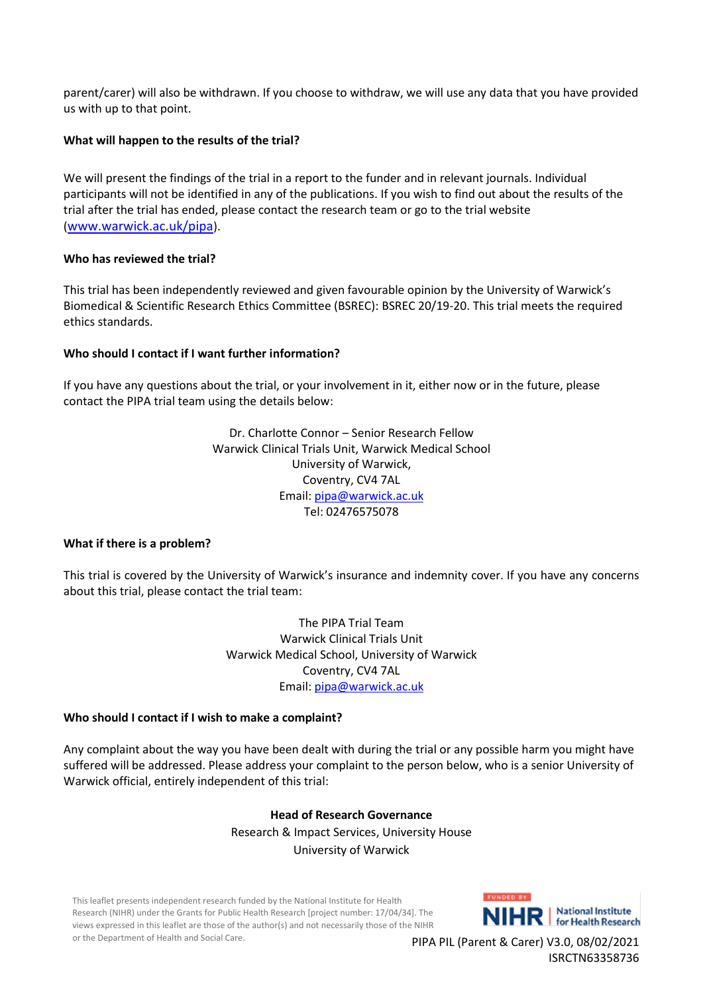parent/carer) will also be withdrawn. If you choose to withdraw, we will use any data that you have provided us with up to that point.

## **What will happen to the results of the trial?**

We will present the findings of the trial in a report to the funder and in relevant journals. Individual participants will not be identified in any of the publications. If you wish to find out about the results of the trial after the trial has ended, please contact the research team or go to the trial website (<www.warwick.ac.uk/pipa>).

#### **Who has reviewed the trial?**

This trial has been independently reviewed and given favourable opinion by the University of Warwick's Biomedical & Scientific Research Ethics Committee (BSREC): BSREC 20/19-20. This trial meets the required ethics standards.

## **Who should I contact if I want further information?**

If you have any questions about the trial, or your involvement in it, either now or in the future, please contact the PIPA trial team using the details below:

> Dr. Charlotte Connor – Senior Research Fellow Warwick Clinical Trials Unit, Warwick Medical School University of Warwick, Coventry, CV4 7AL Email: [pipa@warwick.ac.uk](mailto:pipa@warwick.ac.uk) Tel: 02476575078

#### **What if there is a problem?**

This trial is covered by the University of Warwick's insurance and indemnity cover. If you have any concerns about this trial, please contact the trial team:

> The PIPA Trial Team Warwick Clinical Trials Unit Warwick Medical School, University of Warwick Coventry, CV4 7AL Email: [pipa@warwick.ac.uk](mailto:pipa@warwick.ac.uk)

#### **Who should I contact if I wish to make a complaint?**

Any complaint about the way you have been dealt with during the trial or any possible harm you might have suffered will be addressed. Please address your complaint to the person below, who is a senior University of Warwick official, entirely independent of this trial:

# **Head of Research Governance** Research & Impact Services, University House University of Warwick

This leaflet presents independent research funded by the National Institute for Health Research (NIHR) under the Grants for Public Health Research [project number: 17/04/34]. The views expressed in this leaflet are those of the author(s) and not necessarily those of the NIHR or the Department of Health and Social Care.